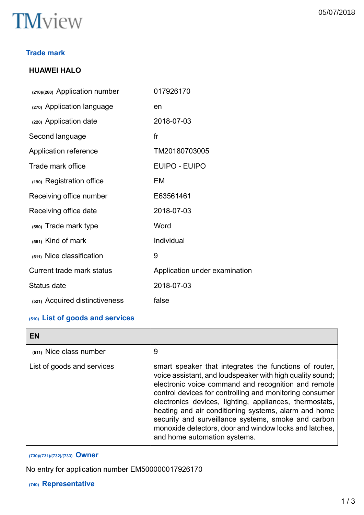

## **Trade mark**

## **HUAWEI HALO**

| (210)/(260) Application number | 017926170                     |
|--------------------------------|-------------------------------|
| (270) Application language     | en                            |
| (220) Application date         | 2018-07-03                    |
| Second language                | f <sub>r</sub>                |
| Application reference          | TM20180703005                 |
| Trade mark office              | <b>EUIPO - EUIPO</b>          |
| (190) Registration office      | EM                            |
| Receiving office number        | E63561461                     |
| Receiving office date          | 2018-07-03                    |
| (550) Trade mark type          | Word                          |
| (551) Kind of mark             | Individual                    |
| (511) Nice classification      | 9                             |
| Current trade mark status      | Application under examination |
| Status date                    | 2018-07-03                    |
| (521) Acquired distinctiveness | false                         |
|                                |                               |

## **(510) List of goods and services**

| EN                         |                                                                                                                                                                                                                                                                                                                                                                                                                                                                                                           |
|----------------------------|-----------------------------------------------------------------------------------------------------------------------------------------------------------------------------------------------------------------------------------------------------------------------------------------------------------------------------------------------------------------------------------------------------------------------------------------------------------------------------------------------------------|
| (511) Nice class number    | 9                                                                                                                                                                                                                                                                                                                                                                                                                                                                                                         |
| List of goods and services | smart speaker that integrates the functions of router,<br>voice assistant, and loudspeaker with high quality sound;<br>electronic voice command and recognition and remote<br>control devices for controlling and monitoring consumer<br>electronics devices, lighting, appliances, thermostats,<br>heating and air conditioning systems, alarm and home<br>security and surveillance systems, smoke and carbon<br>monoxide detectors, door and window locks and latches,<br>and home automation systems. |

## **(730)/(731)/(732)/(733) Owner**

No entry for application number EM500000017926170

## **(740) Representative**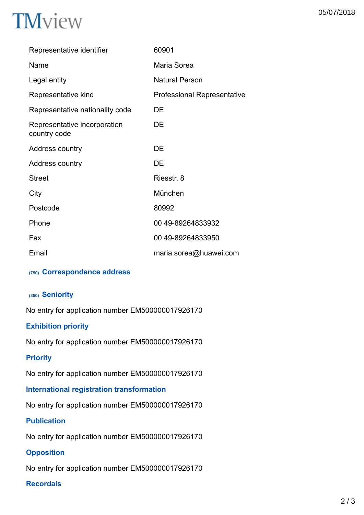| Representative identifier                    | 60901                              |
|----------------------------------------------|------------------------------------|
| Name                                         | Maria Sorea                        |
| Legal entity                                 | <b>Natural Person</b>              |
| Representative kind                          | <b>Professional Representative</b> |
| Representative nationality code              | DE                                 |
| Representative incorporation<br>country code | DE                                 |
| Address country                              | DE                                 |
| Address country                              | DE                                 |
| <b>Street</b>                                | Riesstr. 8                         |
| City                                         | München                            |
| Postcode                                     | 80992                              |
| Phone                                        | 00 49-89264833932                  |
| Fax                                          | 00 49-89264833950                  |
| Email                                        | maria.sorea@huawei.com             |
|                                              |                                    |

## **(750) Correspondence address**

## **(350) Seniority**

No entry for application number EM500000017926170

## **Exhibition priority**

No entry for application number EM500000017926170

## **Priority**

No entry for application number EM500000017926170

## **International registration transformation**

No entry for application number EM500000017926170

## **Publication**

No entry for application number EM500000017926170

## **Opposition**

No entry for application number EM500000017926170

## **Recordals**